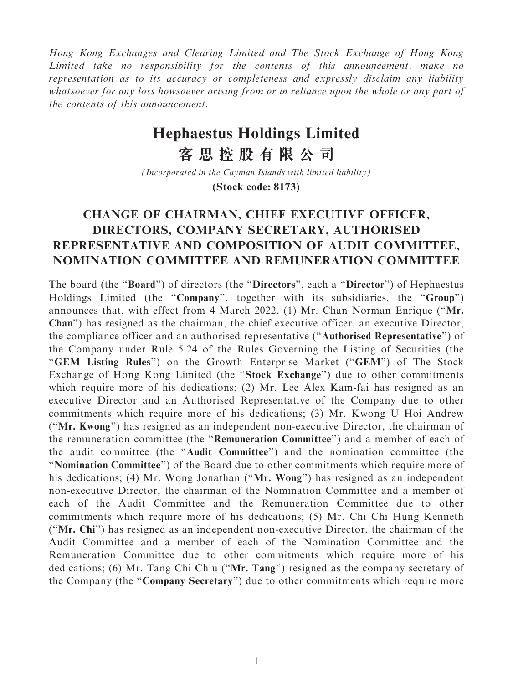Hong Kong Exchanges and Clearing Limited and The Stock Exchange of Hong Kong Limited take no responsibility for the contents of this announcement, make no representation as to its accuracy or completeness and expressly disclaim any liability whatsoever for any loss howsoever arising from or in reliance upon the whole or any part of the contents of this announcement.

## **Hephaestus Holdings Limited**

**客思控股有限公司**

*(Incorporated in the Cayman Islands with limited liability)*

## **(Stock code: 8173)**

## CHANGE OF CHAIRMAN, CHIEF EXECUTIVE OFFICER, DIRECTORS, COMPANY SECRETARY, AUTHORISED REPRESENTATIVE AND COMPOSITION OF AUDIT COMMITTEE, NOMINATION COMMITTEE AND REMUNERATION COMMITTEE

The board (the "Board") of directors (the "Directors", each a "Director") of Hephaestus Holdings Limited (the "Company", together with its subsidiaries, the "Group") announces that, with effect from 4 March 2022, (1) Mr. Chan Norman Enrique (''Mr. Chan'') has resigned as the chairman, the chief executive officer, an executive Director, the compliance officer and an authorised representative (''Authorised Representative'') of the Company under Rule 5.24 of the Rules Governing the Listing of Securities (the "GEM Listing Rules") on the Growth Enterprise Market ("GEM") of The Stock Exchange of Hong Kong Limited (the "Stock Exchange") due to other commitments which require more of his dedications; (2) Mr. Lee Alex Kam-fai has resigned as an executive Director and an Authorised Representative of the Company due to other commitments which require more of his dedications; (3) Mr. Kwong U Hoi Andrew (''Mr. Kwong'') has resigned as an independent non-executive Director, the chairman of the remuneration committee (the ''Remuneration Committee'') and a member of each of the audit committee (the ''Audit Committee'') and the nomination committee (the ''Nomination Committee'') of the Board due to other commitments which require more of his dedications; (4) Mr. Wong Jonathan ("Mr. Wong") has resigned as an independent non-executive Director, the chairman of the Nomination Committee and a member of each of the Audit Committee and the Remuneration Committee due to other commitments which require more of his dedications; (5) Mr. Chi Chi Hung Kenneth (''Mr. Chi'') has resigned as an independent non-executive Director, the chairman of the Audit Committee and a member of each of the Nomination Committee and the Remuneration Committee due to other commitments which require more of his dedications; (6) Mr. Tang Chi Chiu (''Mr. Tang'') resigned as the company secretary of the Company (the "Company Secretary") due to other commitments which require more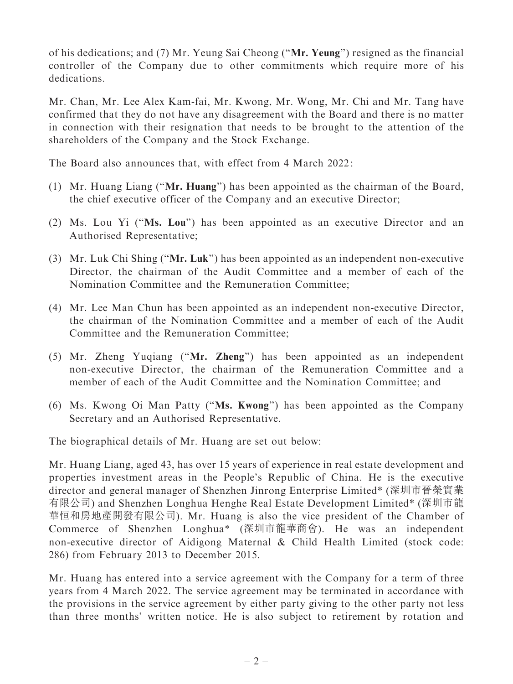of his dedications; and (7) Mr. Yeung Sai Cheong (''Mr. Yeung'') resigned as the financial controller of the Company due to other commitments which require more of his dedications.

Mr. Chan, Mr. Lee Alex Kam-fai, Mr. Kwong, Mr. Wong, Mr. Chi and Mr. Tang have confirmed that they do not have any disagreement with the Board and there is no matter in connection with their resignation that needs to be brought to the attention of the shareholders of the Company and the Stock Exchange.

The Board also announces that, with effect from 4 March 2022:

- (1) Mr. Huang Liang (''Mr. Huang'') has been appointed as the chairman of the Board, the chief executive officer of the Company and an executive Director;
- (2) Ms. Lou Yi (''Ms. Lou'') has been appointed as an executive Director and an Authorised Representative;
- (3) Mr. Luk Chi Shing (''Mr. Luk'') has been appointed as an independent non-executive Director, the chairman of the Audit Committee and a member of each of the Nomination Committee and the Remuneration Committee;
- (4) Mr. Lee Man Chun has been appointed as an independent non-executive Director, the chairman of the Nomination Committee and a member of each of the Audit Committee and the Remuneration Committee;
- (5) Mr. Zheng Yuqiang (''Mr. Zheng'') has been appointed as an independent non-executive Director, the chairman of the Remuneration Committee and a member of each of the Audit Committee and the Nomination Committee; and
- (6) Ms. Kwong Oi Man Patty (''Ms. Kwong'') has been appointed as the Company Secretary and an Authorised Representative.

The biographical details of Mr. Huang are set out below:

Mr. Huang Liang, aged 43, has over 15 years of experience in real estate development and properties investment areas in the People's Republic of China. He is the executive director and general manager of Shenzhen Jinrong Enterprise Limited\* (深圳市晉榮實業 有限公司) and Shenzhen Longhua Henghe Real Estate Development Limited\* (深圳市龍 華恒和房地產開發有限公司). Mr. Huang is also the vice president of the Chamber of Commerce of Shenzhen Longhua\* (深圳市龍華商會). He was an independent non-executive director of Aidigong Maternal & Child Health Limited (stock code: 286) from February 2013 to December 2015.

Mr. Huang has entered into a service agreement with the Company for a term of three years from 4 March 2022. The service agreement may be terminated in accordance with the provisions in the service agreement by either party giving to the other party not less than three months' written notice. He is also subject to retirement by rotation and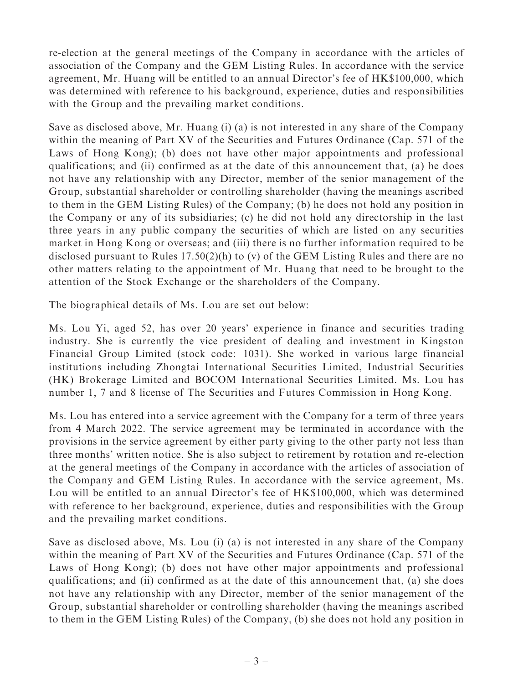re-election at the general meetings of the Company in accordance with the articles of association of the Company and the GEM Listing Rules. In accordance with the service agreement, Mr. Huang will be entitled to an annual Director's fee of HK\$100,000, which was determined with reference to his background, experience, duties and responsibilities with the Group and the prevailing market conditions.

Save as disclosed above, Mr. Huang (i) (a) is not interested in any share of the Company within the meaning of Part XV of the Securities and Futures Ordinance (Cap. 571 of the Laws of Hong Kong); (b) does not have other major appointments and professional qualifications; and (ii) confirmed as at the date of this announcement that, (a) he does not have any relationship with any Director, member of the senior management of the Group, substantial shareholder or controlling shareholder (having the meanings ascribed to them in the GEM Listing Rules) of the Company; (b) he does not hold any position in the Company or any of its subsidiaries; (c) he did not hold any directorship in the last three years in any public company the securities of which are listed on any securities market in Hong Kong or overseas; and (iii) there is no further information required to be disclosed pursuant to Rules 17.50(2)(h) to (v) of the GEM Listing Rules and there are no other matters relating to the appointment of Mr. Huang that need to be brought to the attention of the Stock Exchange or the shareholders of the Company.

The biographical details of Ms. Lou are set out below:

Ms. Lou Yi, aged 52, has over 20 years' experience in finance and securities trading industry. She is currently the vice president of dealing and investment in Kingston Financial Group Limited (stock code: 1031). She worked in various large financial institutions including Zhongtai International Securities Limited, Industrial Securities (HK) Brokerage Limited and BOCOM International Securities Limited. Ms. Lou has number 1, 7 and 8 license of The Securities and Futures Commission in Hong Kong.

Ms. Lou has entered into a service agreement with the Company for a term of three years from 4 March 2022. The service agreement may be terminated in accordance with the provisions in the service agreement by either party giving to the other party not less than three months' written notice. She is also subject to retirement by rotation and re-election at the general meetings of the Company in accordance with the articles of association of the Company and GEM Listing Rules. In accordance with the service agreement, Ms. Lou will be entitled to an annual Director's fee of HK\$100,000, which was determined with reference to her background, experience, duties and responsibilities with the Group and the prevailing market conditions.

Save as disclosed above, Ms. Lou (i) (a) is not interested in any share of the Company within the meaning of Part XV of the Securities and Futures Ordinance (Cap. 571 of the Laws of Hong Kong); (b) does not have other major appointments and professional qualifications; and (ii) confirmed as at the date of this announcement that, (a) she does not have any relationship with any Director, member of the senior management of the Group, substantial shareholder or controlling shareholder (having the meanings ascribed to them in the GEM Listing Rules) of the Company, (b) she does not hold any position in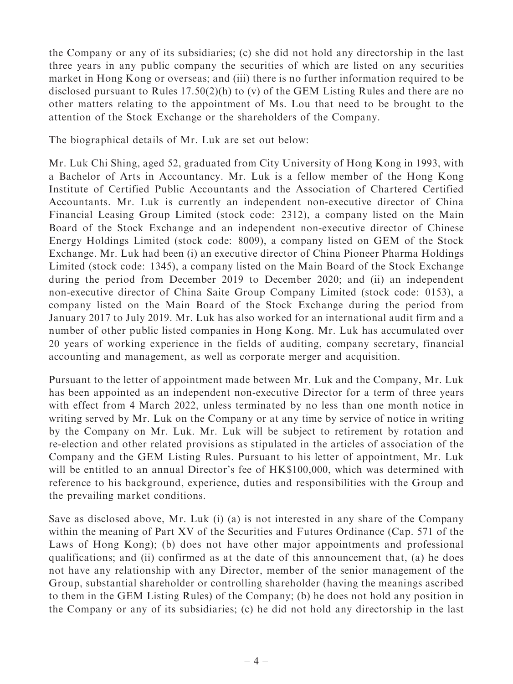the Company or any of its subsidiaries; (c) she did not hold any directorship in the last three years in any public company the securities of which are listed on any securities market in Hong Kong or overseas; and (iii) there is no further information required to be disclosed pursuant to Rules 17.50(2)(h) to (v) of the GEM Listing Rules and there are no other matters relating to the appointment of Ms. Lou that need to be brought to the attention of the Stock Exchange or the shareholders of the Company.

The biographical details of Mr. Luk are set out below:

Mr. Luk Chi Shing, aged 52, graduated from City University of Hong Kong in 1993, with a Bachelor of Arts in Accountancy. Mr. Luk is a fellow member of the Hong Kong Institute of Certified Public Accountants and the Association of Chartered Certified Accountants. Mr. Luk is currently an independent non-executive director of China Financial Leasing Group Limited (stock code: 2312), a company listed on the Main Board of the Stock Exchange and an independent non-executive director of Chinese Energy Holdings Limited (stock code: 8009), a company listed on GEM of the Stock Exchange. Mr. Luk had been (i) an executive director of China Pioneer Pharma Holdings Limited (stock code: 1345), a company listed on the Main Board of the Stock Exchange during the period from December 2019 to December 2020; and (ii) an independent non-executive director of China Saite Group Company Limited (stock code: 0153), a company listed on the Main Board of the Stock Exchange during the period from January 2017 to July 2019. Mr. Luk has also worked for an international audit firm and a number of other public listed companies in Hong Kong. Mr. Luk has accumulated over 20 years of working experience in the fields of auditing, company secretary, financial accounting and management, as well as corporate merger and acquisition.

Pursuant to the letter of appointment made between Mr. Luk and the Company, Mr. Luk has been appointed as an independent non-executive Director for a term of three years with effect from 4 March 2022, unless terminated by no less than one month notice in writing served by Mr. Luk on the Company or at any time by service of notice in writing by the Company on Mr. Luk. Mr. Luk will be subject to retirement by rotation and re-election and other related provisions as stipulated in the articles of association of the Company and the GEM Listing Rules. Pursuant to his letter of appointment, Mr. Luk will be entitled to an annual Director's fee of HK\$100,000, which was determined with reference to his background, experience, duties and responsibilities with the Group and the prevailing market conditions.

Save as disclosed above, Mr. Luk (i) (a) is not interested in any share of the Company within the meaning of Part XV of the Securities and Futures Ordinance (Cap. 571 of the Laws of Hong Kong); (b) does not have other major appointments and professional qualifications; and (ii) confirmed as at the date of this announcement that, (a) he does not have any relationship with any Director, member of the senior management of the Group, substantial shareholder or controlling shareholder (having the meanings ascribed to them in the GEM Listing Rules) of the Company; (b) he does not hold any position in the Company or any of its subsidiaries; (c) he did not hold any directorship in the last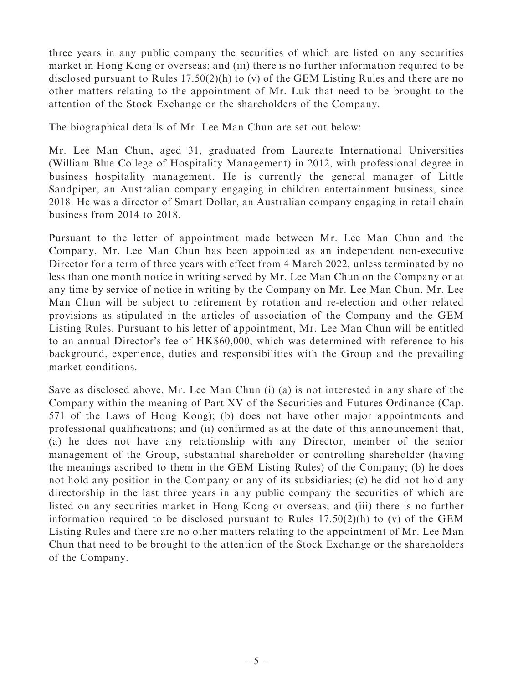three years in any public company the securities of which are listed on any securities market in Hong Kong or overseas; and (iii) there is no further information required to be disclosed pursuant to Rules 17.50(2)(h) to (v) of the GEM Listing Rules and there are no other matters relating to the appointment of Mr. Luk that need to be brought to the attention of the Stock Exchange or the shareholders of the Company.

The biographical details of Mr. Lee Man Chun are set out below:

Mr. Lee Man Chun, aged 31, graduated from Laureate International Universities (William Blue College of Hospitality Management) in 2012, with professional degree in business hospitality management. He is currently the general manager of Little Sandpiper, an Australian company engaging in children entertainment business, since 2018. He was a director of Smart Dollar, an Australian company engaging in retail chain business from 2014 to 2018.

Pursuant to the letter of appointment made between Mr. Lee Man Chun and the Company, Mr. Lee Man Chun has been appointed as an independent non-executive Director for a term of three years with effect from 4 March 2022, unless terminated by no less than one month notice in writing served by Mr. Lee Man Chun on the Company or at any time by service of notice in writing by the Company on Mr. Lee Man Chun. Mr. Lee Man Chun will be subject to retirement by rotation and re-election and other related provisions as stipulated in the articles of association of the Company and the GEM Listing Rules. Pursuant to his letter of appointment, Mr. Lee Man Chun will be entitled to an annual Director's fee of HK\$60,000, which was determined with reference to his background, experience, duties and responsibilities with the Group and the prevailing market conditions.

Save as disclosed above, Mr. Lee Man Chun (i) (a) is not interested in any share of the Company within the meaning of Part XV of the Securities and Futures Ordinance (Cap. 571 of the Laws of Hong Kong); (b) does not have other major appointments and professional qualifications; and (ii) confirmed as at the date of this announcement that, (a) he does not have any relationship with any Director, member of the senior management of the Group, substantial shareholder or controlling shareholder (having the meanings ascribed to them in the GEM Listing Rules) of the Company; (b) he does not hold any position in the Company or any of its subsidiaries; (c) he did not hold any directorship in the last three years in any public company the securities of which are listed on any securities market in Hong Kong or overseas; and (iii) there is no further information required to be disclosed pursuant to Rules 17.50(2)(h) to (v) of the GEM Listing Rules and there are no other matters relating to the appointment of Mr. Lee Man Chun that need to be brought to the attention of the Stock Exchange or the shareholders of the Company.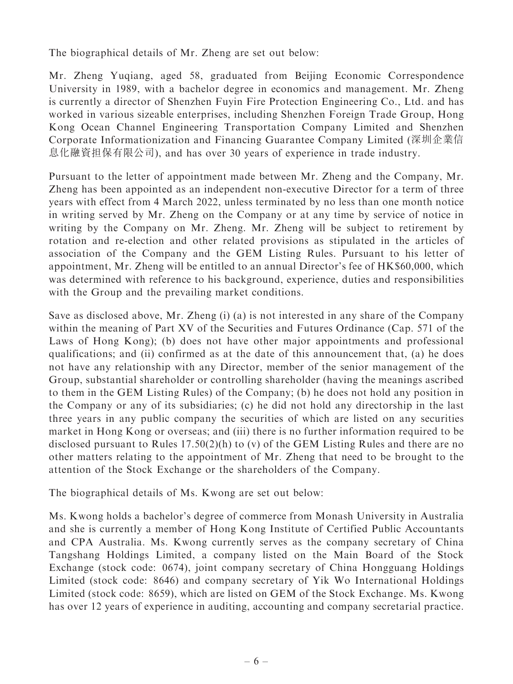The biographical details of Mr. Zheng are set out below:

Mr. Zheng Yuqiang, aged 58, graduated from Beijing Economic Correspondence University in 1989, with a bachelor degree in economics and management. Mr. Zheng is currently a director of Shenzhen Fuyin Fire Protection Engineering Co., Ltd. and has worked in various sizeable enterprises, including Shenzhen Foreign Trade Group, Hong Kong Ocean Channel Engineering Transportation Company Limited and Shenzhen Corporate Informationization and Financing Guarantee Company Limited (深圳企業信 息化融資担保有限公司), and has over 30 years of experience in trade industry.

Pursuant to the letter of appointment made between Mr. Zheng and the Company, Mr. Zheng has been appointed as an independent non-executive Director for a term of three years with effect from 4 March 2022, unless terminated by no less than one month notice in writing served by Mr. Zheng on the Company or at any time by service of notice in writing by the Company on Mr. Zheng. Mr. Zheng will be subject to retirement by rotation and re-election and other related provisions as stipulated in the articles of association of the Company and the GEM Listing Rules. Pursuant to his letter of appointment, Mr. Zheng will be entitled to an annual Director's fee of HK\$60,000, which was determined with reference to his background, experience, duties and responsibilities with the Group and the prevailing market conditions.

Save as disclosed above, Mr. Zheng (i) (a) is not interested in any share of the Company within the meaning of Part XV of the Securities and Futures Ordinance (Cap. 571 of the Laws of Hong Kong); (b) does not have other major appointments and professional qualifications; and (ii) confirmed as at the date of this announcement that, (a) he does not have any relationship with any Director, member of the senior management of the Group, substantial shareholder or controlling shareholder (having the meanings ascribed to them in the GEM Listing Rules) of the Company; (b) he does not hold any position in the Company or any of its subsidiaries; (c) he did not hold any directorship in the last three years in any public company the securities of which are listed on any securities market in Hong Kong or overseas; and (iii) there is no further information required to be disclosed pursuant to Rules 17.50(2)(h) to (v) of the GEM Listing Rules and there are no other matters relating to the appointment of Mr. Zheng that need to be brought to the attention of the Stock Exchange or the shareholders of the Company.

The biographical details of Ms. Kwong are set out below:

Ms. Kwong holds a bachelor's degree of commerce from Monash University in Australia and she is currently a member of Hong Kong Institute of Certified Public Accountants and CPA Australia. Ms. Kwong currently serves as the company secretary of China Tangshang Holdings Limited, a company listed on the Main Board of the Stock Exchange (stock code: 0674), joint company secretary of China Hongguang Holdings Limited (stock code: 8646) and company secretary of Yik Wo International Holdings Limited (stock code: 8659), which are listed on GEM of the Stock Exchange. Ms. Kwong has over 12 years of experience in auditing, accounting and company secretarial practice.